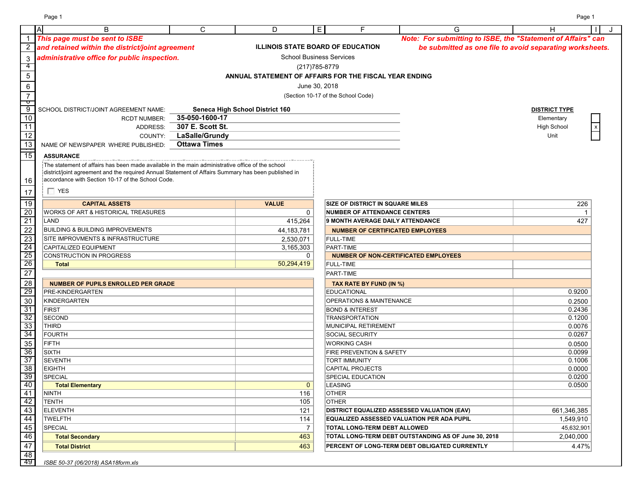|                 | $\mathsf{A}$<br>B                                                                                        | $\mathsf{C}$        | D                                                      | E.                                 |                                         | G                                                            |                                                          |
|-----------------|----------------------------------------------------------------------------------------------------------|---------------------|--------------------------------------------------------|------------------------------------|-----------------------------------------|--------------------------------------------------------------|----------------------------------------------------------|
|                 | This page must be sent to ISBE                                                                           |                     |                                                        |                                    |                                         | Note: For submitting to ISBE, the "Statement of Affairs" can |                                                          |
|                 | and retained within the district/joint agreement                                                         |                     | <b>ILLINOIS STATE BOARD OF EDUCATION</b>               |                                    |                                         |                                                              | be submitted as one file to avoid separating worksheets. |
| $\mathbf{3}$    | administrative office for public inspection.                                                             |                     |                                                        | <b>School Business Services</b>    |                                         |                                                              |                                                          |
|                 |                                                                                                          |                     |                                                        | (217) 785-8779                     |                                         |                                                              |                                                          |
| 5               |                                                                                                          |                     | ANNUAL STATEMENT OF AFFAIRS FOR THE FISCAL YEAR ENDING |                                    |                                         |                                                              |                                                          |
| $\,6\,$         |                                                                                                          |                     |                                                        | June 30, 2018                      |                                         |                                                              |                                                          |
| $\overline{7}$  |                                                                                                          |                     |                                                        | (Section 10-17 of the School Code) |                                         |                                                              |                                                          |
| ᠊ᠣ              |                                                                                                          |                     |                                                        |                                    |                                         |                                                              |                                                          |
| $\overline{9}$  | SCHOOL DISTRICT/JOINT AGREEMENT NAME:                                                                    |                     | <b>Seneca High School District 160</b>                 |                                    |                                         |                                                              | <b>DISTRICT TYPE</b>                                     |
| 10              | <b>RCDT NUMBER:</b>                                                                                      | 35-050-1600-17      |                                                        |                                    |                                         |                                                              | Elementary                                               |
| 11              | ADDRESS:                                                                                                 | 307 E. Scott St.    |                                                        |                                    |                                         |                                                              | <b>High School</b>                                       |
| 12              | COUNTY:                                                                                                  | LaSalle/Grundy      |                                                        |                                    |                                         |                                                              | Unit                                                     |
| 13              | NAME OF NEWSPAPER WHERE PUBLISHED:                                                                       | <b>Ottawa Times</b> |                                                        |                                    |                                         |                                                              |                                                          |
| $\frac{1}{15}$  | <b>ASSURANCE</b>                                                                                         |                     |                                                        |                                    |                                         |                                                              |                                                          |
|                 | $\sf I$ The statement of affairs has been made available in the main administrative office of the school |                     |                                                        |                                    |                                         |                                                              |                                                          |
|                 | district/joint agreement and the required Annual Statement of Affairs Summary has been published in      |                     |                                                        |                                    |                                         |                                                              |                                                          |
| 16              | accordance with Section 10-17 of the School Code.                                                        |                     |                                                        |                                    |                                         |                                                              |                                                          |
| 17              | $\Box$ YES                                                                                               |                     |                                                        |                                    |                                         |                                                              |                                                          |
| 19              | <b>CAPITAL ASSETS</b>                                                                                    |                     | <b>VALUE</b>                                           |                                    | <b>SIZE OF DISTRICT IN SQUARE MILES</b> |                                                              |                                                          |
| 20              | <b>WORKS OF ART &amp; HISTORICAL TREASURES</b>                                                           |                     | 0                                                      |                                    | <b>NUMBER OF ATTENDANCE CENTERS</b>     |                                                              | 226                                                      |
| $\overline{21}$ | LAND                                                                                                     |                     |                                                        |                                    |                                         | <b>9 MONTH AVERAGE DAILY ATTENDANCE</b>                      |                                                          |
|                 |                                                                                                          |                     | 415,264                                                |                                    |                                         |                                                              | 427                                                      |
| $\overline{22}$ | <b>BUILDING &amp; BUILDING IMPROVEMENTS</b>                                                              |                     | 44, 183, 781                                           |                                    |                                         | <b>NUMBER OF CERTIFICATED EMPLOYEES</b>                      |                                                          |
| 23              | <b>SITE IMPROVMENTS &amp; INFRASTRUCTURE</b>                                                             |                     | 2,530,071                                              | <b>FULL-TIME</b>                   |                                         |                                                              |                                                          |
| 24<br>25        | <b>CAPITALIZED EQUIPMENT</b>                                                                             |                     | 3,165,303<br>$\mathbf{0}$                              | <b>PART-TIME</b>                   |                                         |                                                              |                                                          |
| 26              | CONSTRUCTION IN PROGRESS<br><b>Total</b>                                                                 |                     | 50,294,419                                             | <b>FULL-TIME</b>                   |                                         | <b>NUMBER OF NON-CERTIFICATED EMPLOYEES</b>                  |                                                          |
| $\overline{27}$ |                                                                                                          |                     |                                                        |                                    |                                         |                                                              |                                                          |
|                 |                                                                                                          |                     |                                                        | PART-TIME                          |                                         |                                                              |                                                          |
| 28              | <b>NUMBER OF PUPILS ENROLLED PER GRADE</b>                                                               |                     |                                                        |                                    | <b>TAX RATE BY FUND (IN %)</b>          |                                                              |                                                          |
| 29              | <b>PRE-KINDERGARTEN</b>                                                                                  |                     |                                                        | <b>EDUCATIONAL</b>                 |                                         |                                                              | 0.9200                                                   |
| 30              | <b>KINDERGARTEN</b>                                                                                      |                     |                                                        |                                    | <b>OPERATIONS &amp; MAINTENANCE</b>     |                                                              | 0.2500                                                   |
| 31              | <b>FIRST</b>                                                                                             |                     |                                                        | <b>BOND &amp; INTEREST</b>         |                                         |                                                              | 0.2436                                                   |
| 32              | <b>SECOND</b>                                                                                            |                     |                                                        | <b>TRANSPORTATION</b>              |                                         |                                                              | 0.1200                                                   |
| 33<br>34        | <b>THIRD</b><br><b>FOURTH</b>                                                                            |                     |                                                        | SOCIAL SECURITY                    | <b>MUNICIPAL RETIREMENT</b>             |                                                              | 0.0076<br>0.0267                                         |
|                 | FIFTH                                                                                                    |                     |                                                        | <b>WORKING CASH</b>                |                                         |                                                              |                                                          |
| 35<br>36        |                                                                                                          |                     |                                                        |                                    | <b>FIRE PREVENTION &amp; SAFETY</b>     |                                                              | 0.0500<br>0.0099                                         |
| 37              | <b>SIXTH</b><br><b>SEVENTH</b>                                                                           |                     |                                                        | <b>TORT IMMUNITY</b>               |                                         |                                                              | 0.1006                                                   |
| 38              | <b>EIGHTH</b>                                                                                            |                     |                                                        | <b>CAPITAL PROJECTS</b>            |                                         |                                                              | 0.0000                                                   |
| 39              | SPECIAL                                                                                                  |                     |                                                        | SPECIAL EDUCATION                  |                                         |                                                              | 0.0200                                                   |
| 40              | <b>Total Elementary</b>                                                                                  |                     | $\mathbf{0}$                                           | <b>LEASING</b>                     |                                         |                                                              | 0.0500                                                   |
| 41              | NINTH                                                                                                    |                     | 116                                                    | <b>OTHER</b>                       |                                         |                                                              |                                                          |
| 42              | <b>TENTH</b>                                                                                             |                     | 105                                                    | <b>OTHER</b>                       |                                         |                                                              |                                                          |
| 43              | <b>ELEVENTH</b>                                                                                          |                     | 121                                                    |                                    |                                         | <b>DISTRICT EQUALIZED ASSESSED VALUATION (EAV)</b>           | 661,346,385                                              |
| $\overline{44}$ | <b>TWELFTH</b>                                                                                           |                     | 114                                                    |                                    |                                         | <b>EQUALIZED ASSESSED VALUATION PER ADA PUPIL</b>            | 1,549,910                                                |
| 45              | <b>SPECIAL</b>                                                                                           |                     | 7                                                      |                                    | <b>TOTAL LONG-TERM DEBT ALLOWED</b>     |                                                              | 45,632,901                                               |
| 46              | <b>Total Secondary</b>                                                                                   |                     | 463                                                    |                                    |                                         | TOTAL LONG-TERM DEBT OUTSTANDING AS OF June 30, 2018         | 2,040,000                                                |
| 47              | <b>Total District</b>                                                                                    |                     | 463                                                    |                                    |                                         | PERCENT OF LONG-TERM DEBT OBLIGATED CURRENTLY                | 4.47%                                                    |
| 48              |                                                                                                          |                     |                                                        |                                    |                                         |                                                              |                                                          |
| -49             | ISBE 50-37 (06/2018) ASA18form.xls                                                                       |                     |                                                        |                                    |                                         |                                                              |                                                          |

Page 1 Page 1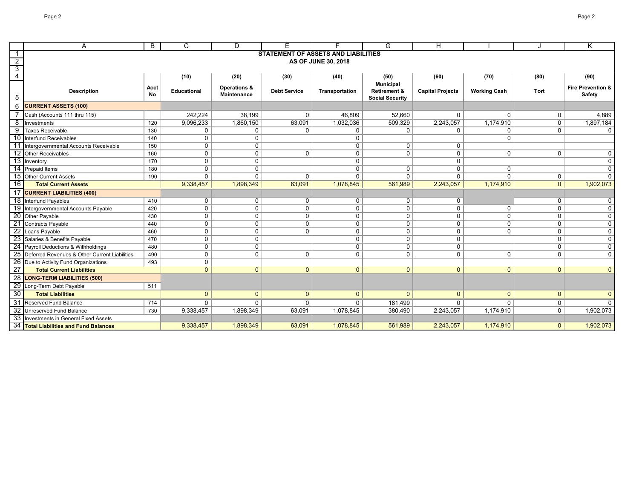|                     | A                                                | B                 | $\mathsf{C}$       | D                                             | E.                  | E.                                         | G                                                 | H                       |                     |                | K                                  |
|---------------------|--------------------------------------------------|-------------------|--------------------|-----------------------------------------------|---------------------|--------------------------------------------|---------------------------------------------------|-------------------------|---------------------|----------------|------------------------------------|
|                     |                                                  |                   |                    |                                               |                     | <b>STATEMENT OF ASSETS AND LIABILITIES</b> |                                                   |                         |                     |                |                                    |
| $\overline{2}$      |                                                  |                   |                    |                                               |                     | AS OF JUNE 30, 2018                        |                                                   |                         |                     |                |                                    |
| $\overline{3}$<br>4 |                                                  |                   | (10)               | (20)                                          | (30)                | (40)                                       | (50)                                              | (60)                    | (70)                | (80)           | (90)                               |
|                     |                                                  |                   |                    |                                               |                     |                                            | <b>Municipal</b>                                  |                         |                     |                |                                    |
| 5                   | <b>Description</b>                               | <b>Acct</b><br>No | <b>Educational</b> | <b>Operations &amp;</b><br><b>Maintenance</b> | <b>Debt Service</b> | Transportation                             | <b>Retirement &amp;</b><br><b>Social Security</b> | <b>Capital Projects</b> | <b>Working Cash</b> | Tort           | Fire Prevention &<br><b>Safety</b> |
| 6                   | <b>CURRENT ASSETS (100)</b>                      |                   |                    |                                               |                     |                                            |                                                   |                         |                     |                |                                    |
|                     | Cash (Accounts 111 thru 115)                     |                   | 242,224            | 38,199                                        | $\mathbf 0$         | 46,809                                     | 52,660                                            | $\mathbf 0$             | $\Omega$            | 0              | 4,889                              |
| 8                   | Investments                                      | 120               | 9,096,233          | 1,860,150                                     | 63,091              | 1,032,036                                  | 509,329                                           | 2,243,057               | 1,174,910           | $\overline{0}$ | 1,897,184                          |
| 9                   | <b>Taxes Receivable</b>                          | 130               | $\mathbf{0}$       | $\mathbf 0$                                   | $\mathbf{0}$        | $\Omega$                                   | $\mathbf{0}$                                      | $\Omega$                | $\Omega$            | $\mathbf 0$    | $\overline{0}$                     |
|                     | 10 Interfund Receivables                         | 140               | $\mathbf 0$        | $\mathsf{O}$                                  |                     | $\mathbf 0$                                |                                                   |                         | $\mathbf{0}$        |                |                                    |
| 11                  | Intergovernmental Accounts Receivable            | 150               | $\mathbf 0$        | $\mathsf{O}$                                  |                     | $\mathbf{0}$                               | $\mathbf 0$                                       | $\mathbf 0$             |                     |                |                                    |
|                     | 12 Other Receivables                             | 160               | $\mathbf 0$        | $\mathbf 0$                                   | $\mathbf 0$         | $\mathbf{0}$                               | $\mathbf 0$                                       | $\mathbf 0$             | $\mathbf 0$         | $\mathbf 0$    | $\mathbf 0$                        |
|                     | 13 Inventory                                     | 170               | $\mathbf 0$        | $\mathbf 0$                                   |                     | $\Omega$                                   |                                                   | $\mathbf 0$             |                     |                | $\mathbf 0$                        |
|                     | 14 Prepaid Items                                 | 180               | $\mathbf 0$        | $\mathbf 0$                                   |                     | $\mathbf{0}$                               | $\mathbf{0}$                                      | $\mathbf{0}$            | $\mathbf{0}$        |                | $\mathbf{0}$                       |
|                     | 15 Other Current Assets                          | 190               | $\mathbf{0}$       | $\mathbf{0}$                                  | $\Omega$            | $\Omega$                                   | $\mathbf 0$                                       | $\mathbf{0}$            | $\Omega$            | $\overline{0}$ | $\mathbf{0}$                       |
| 16                  | <b>Total Current Assets</b>                      |                   | 9,338,457          | 1,898,349                                     | 63,091              | 1,078,845                                  | 561,989                                           | 2,243,057               | 1,174,910           | 0 <sup>1</sup> | 1,902,073                          |
|                     | 17 CURRENT LIABILITIES (400)                     |                   |                    |                                               |                     |                                            |                                                   |                         |                     |                |                                    |
|                     | 18 Interfund Payables                            | 410               | $\mathbf 0$        | $\mathbf 0$                                   | $\mathbf 0$         | $\mathbf{0}$                               | $\mathbf 0$                                       | $\mathbf 0$             |                     | $\mathbf 0$    | $\mathbf 0$                        |
|                     | 19 Intergovernmental Accounts Payable            | 420               | $\mathbf 0$        | $\mathbf 0$                                   | $\mathbf 0$         | $\mathbf 0$                                | $\mathbf 0$                                       | $\mathbf 0$             | $\Omega$            | $\mathbf 0$    | $\mathbf{0}$                       |
|                     | 20 Other Payable                                 | 430               | $\mathbf 0$        | $\mathsf{O}$                                  | $\mathbf 0$         | $\mathbf{0}$                               | $\mathbf 0$                                       | $\mathbf 0$             | $\mathbf{0}$        | $\mathbf 0$    | $\mathbf 0$                        |
|                     | 21 Contracts Payable                             | 440               | $\mathbf 0$        | $\mathbf 0$                                   | $\mathbf 0$         | $\mathbf{0}$                               | $\mathbf 0$                                       | $\mathbf 0$             | $\Omega$            | $\mathbf 0$    | $\overline{0}$                     |
|                     | 22 Loans Payable                                 | 460               | 0                  | $\mathbf 0$                                   | $\mathbf 0$         | $\mathbf 0$                                | $\mathbf 0$                                       | $\mathbf 0$             | $\Omega$            | $\mathbf 0$    | $\mathbf 0$                        |
|                     | 23 Salaries & Benefits Payable                   | 470               | 0                  | $\mathsf{O}$                                  |                     | $\mathbf{0}$                               | $\Omega$                                          | $\mathbf 0$             |                     | $\mathbf 0$    | $\mathbf 0$                        |
|                     | 24 Payroll Deductions & Withholdings             | 480               | 0                  | 0                                             |                     | $\mathbf 0$                                | $\mathbf 0$                                       | 0                       |                     | $\mathbf 0$    | $\mathbf 0$                        |
|                     | 25 Deferred Revenues & Other Current Liabilities | 490               | $\mathbf 0$        | $\mathbf 0$                                   | $\mathbf 0$         | $\mathbf{0}$                               | $\mathbf 0$                                       | $\mathbf 0$             | $\Omega$            | $\mathbf{0}$   | $\mathbf 0$                        |
|                     | 26 Due to Activity Fund Organizations            | 493               | $\mathbf 0$        |                                               |                     |                                            |                                                   |                         |                     |                |                                    |
| $\overline{27}$     | <b>Total Current Liabilities</b>                 |                   | $\mathbf{0}$       | $\overline{0}$                                | $\mathbf{0}$        | $\mathbf{0}$                               | $\mathbf{0}$                                      | $\mathbf{0}$            | $\mathbf{0}$        | $\overline{0}$ | $\mathbf{0}$                       |
|                     | 28 LONG-TERM LIABILITIES (500)                   |                   |                    |                                               |                     |                                            |                                                   |                         |                     |                |                                    |
|                     | 29 Long-Term Debt Payable                        | 511               |                    |                                               |                     |                                            |                                                   |                         |                     |                |                                    |
| 30                  | <b>Total Liabilities</b>                         |                   | $\mathbf{0}$       | $\mathbf{0}$                                  | $\mathbf{0}$        | $\mathbf{0}$                               | $\Omega$                                          | $\mathbf{0}$            | $\Omega$            | $\overline{0}$ | $\mathbf{0}$                       |
|                     | 31 Reserved Fund Balance                         | 714               | $\mathbf{0}$       | $\mathbf{0}$                                  | $\Omega$            | $\mathbf{0}$                               | 181,499                                           | $\Omega$                | U                   | $\mathbf 0$    | $\Omega$                           |
|                     | 32 Unreserved Fund Balance                       | 730               | 9,338,457          | 1,898,349                                     | 63,091              | 1,078,845                                  | 380,490                                           | 2,243,057               | 1,174,910           | $\mathbf 0$    | 1,902,073                          |
|                     | 33 Investments in General Fixed Assets           |                   |                    |                                               |                     |                                            |                                                   |                         |                     |                |                                    |
|                     | 34 Total Liabilities and Fund Balances           |                   | 9,338,457          | 1,898,349                                     | 63,091              | 1,078,845                                  | 561,989                                           | 2,243,057               | 1,174,910           | $\mathbf{0}$   | 1,902,073                          |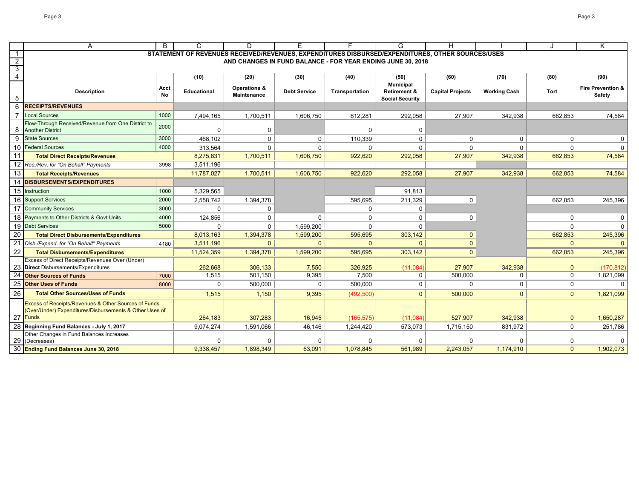|                                  | A                                                                                                                           | B          | C                                                                                                | D                                             | E                   | F                                                           | G                                                 | H                       |                     |                | K.                                            |
|----------------------------------|-----------------------------------------------------------------------------------------------------------------------------|------------|--------------------------------------------------------------------------------------------------|-----------------------------------------------|---------------------|-------------------------------------------------------------|---------------------------------------------------|-------------------------|---------------------|----------------|-----------------------------------------------|
| $\overline{1}$                   |                                                                                                                             |            | STATEMENT OF REVENUES RECEIVED/REVENUES, EXPENDITURES DISBURSED/EXPENDITURES, OTHER SOURCES/USES |                                               |                     |                                                             |                                                   |                         |                     |                |                                               |
| $\overline{2}$                   |                                                                                                                             |            |                                                                                                  |                                               |                     | AND CHANGES IN FUND BALANCE - FOR YEAR ENDING JUNE 30, 2018 |                                                   |                         |                     |                |                                               |
| $\overline{3}$<br>$\overline{4}$ |                                                                                                                             |            |                                                                                                  |                                               |                     |                                                             |                                                   |                         |                     |                |                                               |
|                                  |                                                                                                                             |            | (10)                                                                                             | (20)                                          | (30)                | (40)                                                        | (50)<br><b>Municipal</b>                          | (60)                    | (70)                | (80)           | (90)                                          |
| 5                                | <b>Description</b>                                                                                                          | Acct<br>No | Educational                                                                                      | <b>Operations &amp;</b><br><b>Maintenance</b> | <b>Debt Service</b> | Transportation                                              | <b>Retirement &amp;</b><br><b>Social Security</b> | <b>Capital Projects</b> | <b>Working Cash</b> | Tort           | <b>Fire Prevention &amp;</b><br><b>Safety</b> |
| 6                                | <b>RECEIPTS/REVENUES</b>                                                                                                    |            |                                                                                                  |                                               |                     |                                                             |                                                   |                         |                     |                |                                               |
|                                  | Local Sources                                                                                                               | 1000       | 7,494,165                                                                                        | 1,700,511                                     | 1,606,750           | 812,281                                                     | 292,058                                           | 27,907                  | 342,938             | 662,853        | 74,584                                        |
| 8                                | Flow-Through Received/Revenue from One District to<br><b>Another District</b>                                               | 2000       | $\Omega$                                                                                         | 0                                             |                     | <sup>0</sup>                                                | 0                                                 |                         |                     |                |                                               |
| 9                                | <b>State Sources</b>                                                                                                        | 3000       | 468,102                                                                                          | $\mathbf 0$                                   | $\mathbf 0$         | 110,339                                                     | $\Omega$                                          | $\mathbf{0}$            | $\mathbf{0}$        | $\mathbf{0}$   | $\mathbf 0$                                   |
| 10                               | <b>Federal Sources</b>                                                                                                      | 4000       | 313,564                                                                                          | $\mathbf{0}$                                  | $\Omega$            | $\Omega$                                                    | $\Omega$                                          | $\Omega$                | $\Omega$            | $\Omega$       | $\Omega$                                      |
| 11                               | <b>Total Direct Receipts/Revenues</b>                                                                                       |            | 8,275,831                                                                                        | 1,700,511                                     | 1,606,750           | 922,620                                                     | 292,058                                           | 27,907                  | 342,938             | 662,853        | 74,584                                        |
|                                  | 12 Rec./Rev. for "On Behalf" Payments                                                                                       | 3998       | 3,511,196                                                                                        |                                               |                     |                                                             |                                                   |                         |                     |                |                                               |
| 13                               | <b>Total Receipts/Revenues</b>                                                                                              |            | 11,787,027                                                                                       | 1,700,511                                     | 1,606,750           | 922,620                                                     | 292,058                                           | 27,907                  | 342,938             | 662,853        | 74,584                                        |
| 14                               | <b>DISBURSEMENTS/EXPENDITURES</b>                                                                                           |            |                                                                                                  |                                               |                     |                                                             |                                                   |                         |                     |                |                                               |
|                                  | 15 Instruction                                                                                                              | 1000       | 5,329,565                                                                                        |                                               |                     |                                                             | 91,813                                            |                         |                     |                |                                               |
|                                  | 16 Support Services                                                                                                         | 2000       | 2,558,742                                                                                        | 1,394,378                                     |                     | 595,695                                                     | 211,329                                           | $\mathbf{0}$            |                     | 662,853        | 245,396                                       |
| 17                               | <b>Community Services</b>                                                                                                   | 3000       | $\mathbf 0$                                                                                      | $\mathbf 0$                                   |                     | 0                                                           | 0                                                 |                         |                     |                |                                               |
| 18                               | Payments to Other Districts & Govt Units                                                                                    | 4000       | 124,856                                                                                          | 0                                             | $\mathbf 0$         | 0                                                           | 0                                                 | 0                       |                     | $\Omega$       | 0                                             |
|                                  | 19 Debt Services                                                                                                            | 5000       | 0                                                                                                | $\mathbf 0$                                   | 1,599,200           | $\Omega$                                                    | $\Omega$                                          |                         |                     | 0              | $\mathbf 0$                                   |
| 20                               | <b>Total Direct Disbursements/Expenditures</b>                                                                              |            | 8,013,163                                                                                        | 1,394,378                                     | 1,599,200           | 595,695                                                     | 303,142                                           | $\Omega$                |                     | 662,853        | 245,396                                       |
|                                  | Disb./Expend. for "On Behalf" Payments                                                                                      | 4180       | 3,511,196                                                                                        | $\overline{0}$                                | $\mathbf{0}$        | $\Omega$                                                    | $\Omega$                                          | $\mathbf{0}$            |                     | $\mathbf{0}$   | $\Omega$                                      |
| $\overline{22}$                  | <b>Total Disbursements/Expenditures</b>                                                                                     |            | 11,524,359                                                                                       | 1,394,378                                     | 1,599,200           | 595,695                                                     | 303,142                                           | $\Omega$                |                     | 662,853        | 245,396                                       |
|                                  | <b>Excess of Direct Receipts/Revenues Over (Under)</b>                                                                      |            |                                                                                                  |                                               |                     |                                                             |                                                   |                         |                     |                |                                               |
|                                  | <b>Direct</b> Disbursements/Expenditures                                                                                    |            | 262,668                                                                                          | 306,133                                       | 7,550               | 326,925                                                     | (11,084)                                          | 27,907                  | 342,938             | $\mathbf 0$    | (170, 812)                                    |
| 24                               | <b>Other Sources of Funds</b>                                                                                               | 7000       | 1,515                                                                                            | 501,150                                       | 9,395               | 7,500                                                       | 0                                                 | 500,000                 | 0                   | $\pmb{0}$      | 1,821,099                                     |
| 25                               | <b>Other Uses of Funds</b>                                                                                                  | 8000       | $\mathbf 0$                                                                                      | 500,000                                       | 0                   | 500,000                                                     | $\mathbf 0$                                       | $\mathbf{0}$            | $\mathbf{0}$        | $\mathbf 0$    | $\Omega$                                      |
| 26                               | <b>Total Other Sources/Uses of Funds</b>                                                                                    |            | 1,515                                                                                            | 1,150                                         | 9,395               | (492, 500)                                                  | $\mathbf{0}$                                      | 500,000                 | $\overline{0}$      | $\overline{0}$ | 1,821,099                                     |
|                                  | Excess of Receipts/Revenues & Other Sources of Funds<br>(Over/Under) Expenditures/Disbursements & Other Uses of<br>27 Funds |            | 264,183                                                                                          | 307,283                                       | 16,945              | (165, 575)                                                  | (11,084)                                          | 527,907                 | 342,938             | $\pmb{0}$      | 1,650,287                                     |
|                                  | Beginning Fund Balances - July 1, 2017                                                                                      |            | 9,074,274                                                                                        | 1,591,066                                     | 46,146              | 1,244,420                                                   | 573,073                                           | 1,715,150               | 831,972             | $\mathbf 0$    | 251,786                                       |
|                                  | Other Changes in Fund Balances Increases                                                                                    |            |                                                                                                  |                                               |                     |                                                             |                                                   |                         |                     |                |                                               |
| 29                               | (Decreases)                                                                                                                 |            | $\Omega$                                                                                         | $\mathbf 0$                                   | $\Omega$            | $\Omega$                                                    | $\Omega$                                          | $\Omega$                |                     | 0              | $\Omega$                                      |
|                                  | 30 <b>Ending Fund Balances June 30, 2018</b>                                                                                |            | 9,338,457                                                                                        | 1,898,349                                     | 63,091              | 1,078,845                                                   | 561,989                                           | 2,243,057               | 1,174,910           | $\mathbf{0}$   | 1,902,073                                     |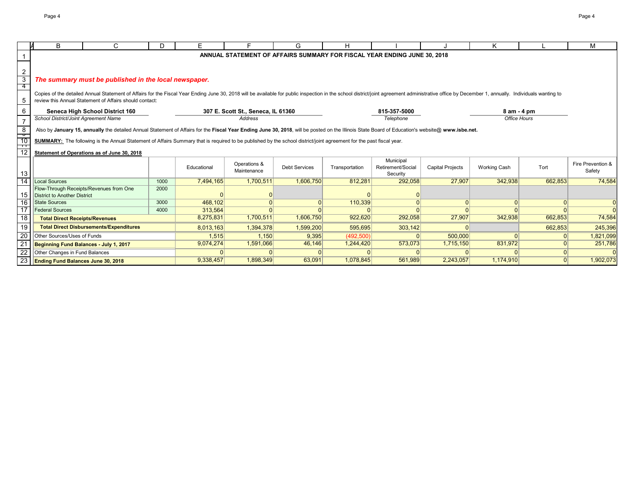|                                    | В                                                                                                                                                                                                | C                                                                                                                                                                                                                              | D    | E.          |              | G                    | н              |                                                                          |                         | Κ                   |                | M                 |
|------------------------------------|--------------------------------------------------------------------------------------------------------------------------------------------------------------------------------------------------|--------------------------------------------------------------------------------------------------------------------------------------------------------------------------------------------------------------------------------|------|-------------|--------------|----------------------|----------------|--------------------------------------------------------------------------|-------------------------|---------------------|----------------|-------------------|
|                                    |                                                                                                                                                                                                  |                                                                                                                                                                                                                                |      |             |              |                      |                | ANNUAL STATEMENT OF AFFAIRS SUMMARY FOR FISCAL YEAR ENDING JUNE 30, 2018 |                         |                     |                |                   |
|                                    |                                                                                                                                                                                                  |                                                                                                                                                                                                                                |      |             |              |                      |                |                                                                          |                         |                     |                |                   |
| $\overline{2}$                     |                                                                                                                                                                                                  |                                                                                                                                                                                                                                |      |             |              |                      |                |                                                                          |                         |                     |                |                   |
| $\mathbf{3}$                       |                                                                                                                                                                                                  | The summary must be published in the local newspaper.                                                                                                                                                                          |      |             |              |                      |                |                                                                          |                         |                     |                |                   |
| -4                                 |                                                                                                                                                                                                  |                                                                                                                                                                                                                                |      |             |              |                      |                |                                                                          |                         |                     |                |                   |
|                                    |                                                                                                                                                                                                  | Copies of the detailed Annual Statement of Affairs for the Fiscal Year Ending June 30, 2018 will be available for public inspection in the school district/joint agreement administrative office by December 1, annually. Indi |      |             |              |                      |                |                                                                          |                         |                     |                |                   |
| -5                                 | review this Annual Statement of Affairs should contact:                                                                                                                                          |                                                                                                                                                                                                                                |      |             |              |                      |                |                                                                          |                         |                     |                |                   |
| 6                                  | 815-357-5000<br><b>Seneca High School District 160</b><br>307 E. Scott St., Seneca, IL 61360<br>8 am - 4 pm                                                                                      |                                                                                                                                                                                                                                |      |             |              |                      |                |                                                                          |                         |                     |                |                   |
|                                    | School District/Joint Agreement Name                                                                                                                                                             |                                                                                                                                                                                                                                |      |             | Address      |                      |                | Telephone                                                                |                         | Office Hours        |                |                   |
| 8                                  | Also by January 15, annually the detailed Annual Statement of Affairs for the Fiscal Year Ending June 30, 2018, will be posted on the Illinois State Board of Education's website@ www.isbe.net. |                                                                                                                                                                                                                                |      |             |              |                      |                |                                                                          |                         |                     |                |                   |
| ं                                  |                                                                                                                                                                                                  |                                                                                                                                                                                                                                |      |             |              |                      |                |                                                                          |                         |                     |                |                   |
| 10<br>┯                            | SUMMARY: The following is the Annual Statement of Affairs Summary that is required to be published by the school district/joint agreement for the past fiscal year.                              |                                                                                                                                                                                                                                |      |             |              |                      |                |                                                                          |                         |                     |                |                   |
| 12                                 |                                                                                                                                                                                                  | Statement of Operations as of June 30, 2018                                                                                                                                                                                    |      |             |              |                      |                |                                                                          |                         |                     |                |                   |
|                                    |                                                                                                                                                                                                  |                                                                                                                                                                                                                                |      |             | Operations & |                      |                | Municipal                                                                |                         |                     |                | Fire Prevention & |
|                                    |                                                                                                                                                                                                  |                                                                                                                                                                                                                                |      | Educational | Maintenance  | <b>Debt Services</b> | Transportation | Retirement/Social                                                        | <b>Capital Projects</b> | <b>Working Cash</b> | Tort           | Safety            |
| 13 <sup>1</sup><br>$\overline{14}$ | Local Sources                                                                                                                                                                                    |                                                                                                                                                                                                                                | 1000 | 7,494,165   | 1,700,511    | 1,606,750            | 812,281        | Security<br>292,058                                                      | 27,907                  | 342,938             | 662,853        | 74,584            |
|                                    |                                                                                                                                                                                                  | Flow-Through Receipts/Revenues from One                                                                                                                                                                                        | 2000 |             |              |                      |                |                                                                          |                         |                     |                |                   |
| 15                                 | District to Another District                                                                                                                                                                     |                                                                                                                                                                                                                                |      |             |              |                      |                |                                                                          |                         |                     |                |                   |
| 16                                 | <b>State Sources</b>                                                                                                                                                                             |                                                                                                                                                                                                                                | 3000 | 468,102     | $\Omega$     | $\Omega$             | 110,339        |                                                                          | $\Omega$                | 0                   | 0              | $\overline{0}$    |
| 17                                 | <b>Federal Sources</b>                                                                                                                                                                           |                                                                                                                                                                                                                                | 4000 | 313,564     | $\Omega$     |                      |                |                                                                          | $\Omega$                |                     | $\Omega$       | $\Omega$          |
| 18                                 | <b>Total Direct Receipts/Revenues</b>                                                                                                                                                            |                                                                                                                                                                                                                                |      | 8,275,831   | 1,700,511    | 1,606,750            | 922,620        | 292,058                                                                  | 27,907                  | 342,938             | 662,853        | 74,584            |
| 19                                 |                                                                                                                                                                                                  | <b>Total Direct Disbursements/Expenditures</b>                                                                                                                                                                                 |      | 8,013,163   | 1,394,378    | 1,599,200            | 595,695        | 303,142                                                                  | <sup>0</sup>            |                     | 662,853        | 245,396           |
| 20                                 | Other Sources/Uses of Funds                                                                                                                                                                      |                                                                                                                                                                                                                                |      | 1,515       | 1,150        | 9,395                | (492, 500)     |                                                                          | 500,000                 |                     | $\overline{0}$ | 1,821,099         |
| 21                                 | Beginning Fund Balances - July 1, 2017                                                                                                                                                           |                                                                                                                                                                                                                                |      | 9,074,274   | 1,591,066    | 46,146               | 1,244,420      | 573,073                                                                  | 1,715,150               | 831,972             | 0              | 251,786           |
| 22                                 | Other Changes in Fund Balances                                                                                                                                                                   |                                                                                                                                                                                                                                |      |             |              |                      |                |                                                                          |                         |                     | $\Omega$       |                   |
|                                    | 23   Ending Fund Balances June 30, 2018                                                                                                                                                          |                                                                                                                                                                                                                                |      | 9,338,457   | 1,898,349    | 63,091               | 1,078,845      | 561,989                                                                  | 2,243,057               | 1,174,910           | 0              | 1,902,073         |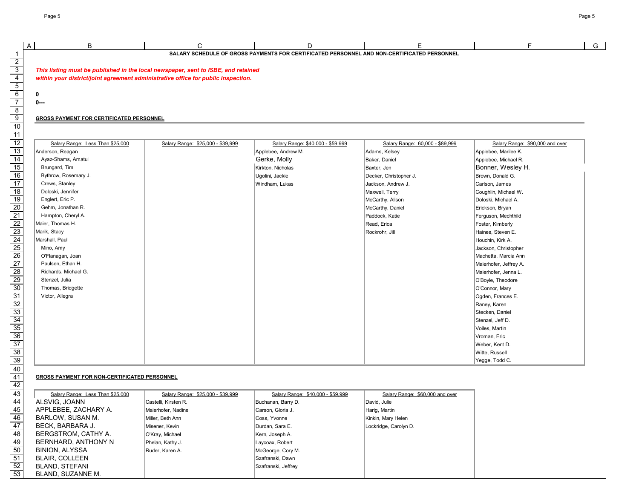| B<br>A                                          | $\mathsf{C}$                                                                      | D                                                                                           | E                               | F.                              |  |
|-------------------------------------------------|-----------------------------------------------------------------------------------|---------------------------------------------------------------------------------------------|---------------------------------|---------------------------------|--|
|                                                 |                                                                                   | SALARY SCHEDULE OF GROSS PAYMENTS FOR CERTIFICATED PERSONNEL AND NON-CERTIFICATED PERSONNEL |                                 |                                 |  |
|                                                 |                                                                                   |                                                                                             |                                 |                                 |  |
|                                                 | This listing must be published in the local newspaper, sent to ISBE, and retained |                                                                                             |                                 |                                 |  |
|                                                 | within your district/joint agreement administrative office for public inspection. |                                                                                             |                                 |                                 |  |
|                                                 |                                                                                   |                                                                                             |                                 |                                 |  |
| 0                                               |                                                                                   |                                                                                             |                                 |                                 |  |
| $0 --$                                          |                                                                                   |                                                                                             |                                 |                                 |  |
|                                                 |                                                                                   |                                                                                             |                                 |                                 |  |
| <b>GROSS PAYMENT FOR CERTIFICATED PERSONNEL</b> |                                                                                   |                                                                                             |                                 |                                 |  |
|                                                 |                                                                                   |                                                                                             |                                 |                                 |  |
| Salary Range: Less Than \$25,000                | Salary Range: \$25,000 - \$39,999                                                 | Salary Range: \$40,000 - \$59,999                                                           | Salary Range: 60,000 - \$89,999 | Salary Range: \$90,000 and over |  |
| Anderson, Reagan                                |                                                                                   | Applebee, Andrew M.                                                                         | Adams, Kelsey                   | Applebee, Marilee K.            |  |
| Ayaz-Shams, Amatul                              |                                                                                   | Gerke, Molly                                                                                | Baker, Daniel                   | Applebee, Michael R.            |  |
| Brungard, Tim                                   |                                                                                   | Kirkton, Nicholas                                                                           | Baxter, Jen                     | Bonner, Wesley H.               |  |
| Bythrow, Rosemary J.                            |                                                                                   | Ugolini, Jackie                                                                             | Decker, Christopher J.          | Brown, Donald G.                |  |
| Crews, Stanley                                  |                                                                                   | Windham, Lukas                                                                              | Jackson, Andrew J.              | Carlson, James                  |  |
| Doloski, Jennifer                               |                                                                                   |                                                                                             | Maxwell, Terry                  | Coughlin, Michael W.            |  |
| Englert, Eric P.                                |                                                                                   |                                                                                             | McCarthy, Alison                | Doloski, Michael A.             |  |
| Gehm, Jonathan R.                               |                                                                                   |                                                                                             | McCarthy, Daniel                | Erickson, Bryan                 |  |
| Hampton, Cheryl A.                              |                                                                                   |                                                                                             | Paddock, Katie                  | Ferguson, Mechthild             |  |
| Maier, Thomas H.                                |                                                                                   |                                                                                             | Read, Erica                     | Foster, Kimberly                |  |
| Marik, Stacy                                    |                                                                                   |                                                                                             | Rockrohr, Jill                  | Haines, Steven E.               |  |
| Marshall, Paul                                  |                                                                                   |                                                                                             |                                 | Houchin, Kirk A.                |  |
| Mino, Amy                                       |                                                                                   |                                                                                             |                                 | Jackson, Christopher            |  |
| O'Flanagan, Joan                                |                                                                                   |                                                                                             |                                 | Machetta, Marcia Ann            |  |
| Paulsen, Ethan H.                               |                                                                                   |                                                                                             |                                 | Maierhofer, Jeffrey A.          |  |
| Richards, Michael G.                            |                                                                                   |                                                                                             |                                 | Maierhofer, Jenna L.            |  |
| Stenzel, Julia                                  |                                                                                   |                                                                                             |                                 | O'Boyle, Theodore               |  |
| Thomas, Bridgette                               |                                                                                   |                                                                                             |                                 | O'Connor, Mary                  |  |
| Victor, Allegra                                 |                                                                                   |                                                                                             |                                 | Ogden, Frances E.               |  |
|                                                 |                                                                                   |                                                                                             |                                 | Raney, Karen                    |  |
|                                                 |                                                                                   |                                                                                             |                                 | Stecken, Daniel                 |  |
|                                                 |                                                                                   |                                                                                             |                                 | Stenzel, Jeff D.                |  |
|                                                 |                                                                                   |                                                                                             |                                 | Voiles, Martin                  |  |
|                                                 |                                                                                   |                                                                                             |                                 | Vroman, Eric                    |  |
|                                                 |                                                                                   |                                                                                             |                                 | Weber, Kent D.                  |  |
|                                                 |                                                                                   |                                                                                             |                                 | Witte, Russell                  |  |
|                                                 |                                                                                   |                                                                                             |                                 | Yegge, Todd C.                  |  |

## **GROSS PAYMENT FOR NON-CERTIFICATED PERSONNEL**

| Salary Range: Less Than \$25,000 | Salary Range: \$25,000 - \$39,999 | Salary Range: \$40,000 - \$59,999 | Salary Range: \$60,000 and over |
|----------------------------------|-----------------------------------|-----------------------------------|---------------------------------|
| ALSVIG, JOANN                    | Castelli, Kirsten R.              | Buchanan, Barry D.                | David, Julie                    |
| APPLEBEE, ZACHARY A.             | Maierhofer, Nadine                | Carson, Gloria J.                 | Harig, Martin                   |
| BARLOW, SUSAN M.                 | Miller, Beth Ann                  | Coss, Yvonne                      | Kinkin, Mary Helen              |
| BECK, BARBARA J.                 | Misener, Kevin                    | Durdan, Sara E.                   | Lockridge, Carolyn D.           |
| BERGSTROM, CATHY A.              | O'Kray, Michael                   | Kern, Joseph A.                   |                                 |
| BERNHARD, ANTHONY N              | Phelan, Kathy J.                  | Laycoax, Robert                   |                                 |
| BINION, ALYSSA                   | Ruder, Karen A.                   | McGeorge, Cory M.                 |                                 |
| <b>BLAIR, COLLEEN</b>            |                                   | Szafranski, Dawn                  |                                 |
| <b>BLAND, STEFANI</b>            |                                   | Szafranski, Jeffrey               |                                 |
| BLAND, SUZANNE M.                |                                   |                                   |                                 |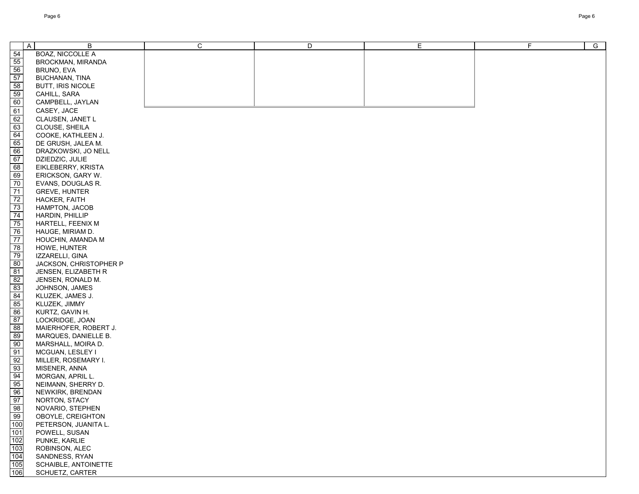| $\overline{A}$                                                                                    | B                                    | $\mathsf{C}$ | D | E | $\mathsf F$ | $\overline{G}$ |
|---------------------------------------------------------------------------------------------------|--------------------------------------|--------------|---|---|-------------|----------------|
| 54                                                                                                | <b>BOAZ, NICCOLLE A</b>              |              |   |   |             |                |
|                                                                                                   | <b>BROCKMAN, MIRANDA</b>             |              |   |   |             |                |
|                                                                                                   | BRUNO, EVA                           |              |   |   |             |                |
|                                                                                                   | <b>BUCHANAN, TINA</b>                |              |   |   |             |                |
|                                                                                                   | <b>BUTT, IRIS NICOLE</b>             |              |   |   |             |                |
|                                                                                                   | CAHILL, SARA                         |              |   |   |             |                |
| <u>මු හ</u>   හ   හ  <br>ම                                                                        | CAMPBELL, JAYLAN                     |              |   |   |             |                |
| 61                                                                                                | CASEY, JACE                          |              |   |   |             |                |
|                                                                                                   | CLAUSEN, JANET L                     |              |   |   |             |                |
|                                                                                                   | CLOUSE, SHEILA                       |              |   |   |             |                |
| $\frac{62}{63}$                                                                                   | COOKE, KATHLEEN J.                   |              |   |   |             |                |
|                                                                                                   | DE GRUSH, JALEA M.                   |              |   |   |             |                |
|                                                                                                   | DRAZKOWSKI, JO NELL                  |              |   |   |             |                |
|                                                                                                   | DZIEDZIC, JULIE                      |              |   |   |             |                |
| $\begin{array}{r}\n 65 \\ \hline\n 66 \\ \hline\n 67 \\ \hline\n 68 \\ \hline\n 69\n \end{array}$ | EIKLEBERRY, KRISTA                   |              |   |   |             |                |
|                                                                                                   | ERICKSON, GARY W.                    |              |   |   |             |                |
| 70                                                                                                | EVANS, DOUGLAS R.                    |              |   |   |             |                |
| 71                                                                                                | <b>GREVE, HUNTER</b>                 |              |   |   |             |                |
|                                                                                                   | HACKER, FAITH                        |              |   |   |             |                |
| $\frac{72}{73}$                                                                                   | HAMPTON, JACOB                       |              |   |   |             |                |
| 74                                                                                                | HARDIN, PHILLIP                      |              |   |   |             |                |
| 75                                                                                                | HARTELL, FEENIX M                    |              |   |   |             |                |
| 76                                                                                                | HAUGE, MIRIAM D.                     |              |   |   |             |                |
| 77                                                                                                | HOUCHIN, AMANDA M                    |              |   |   |             |                |
|                                                                                                   | HOWE, HUNTER                         |              |   |   |             |                |
|                                                                                                   | IZZARELLI, GINA                      |              |   |   |             |                |
| $\begin{array}{r} \n 78 \\ \hline\n 79 \\ 80 \\ \hline\n 81 \\ 82\n \end{array}$                  | JACKSON, CHRISTOPHER P               |              |   |   |             |                |
|                                                                                                   | JENSEN, ELIZABETH R                  |              |   |   |             |                |
|                                                                                                   | JENSEN, RONALD M.                    |              |   |   |             |                |
| 83                                                                                                | JOHNSON, JAMES                       |              |   |   |             |                |
| 84                                                                                                | KLUZEK, JAMES J.                     |              |   |   |             |                |
| 85                                                                                                | KLUZEK, JIMMY                        |              |   |   |             |                |
| 86                                                                                                | KURTZ, GAVIN H.                      |              |   |   |             |                |
| 87                                                                                                | LOCKRIDGE, JOAN                      |              |   |   |             |                |
| $\frac{8}{8}$                                                                                     | MAIERHOFER, ROBERT J.                |              |   |   |             |                |
| $\frac{89}{90}$                                                                                   | MARQUES, DANIELLE B.                 |              |   |   |             |                |
|                                                                                                   | MARSHALL, MOIRA D.                   |              |   |   |             |                |
|                                                                                                   | MCGUAN, LESLEY I                     |              |   |   |             |                |
| $\frac{91}{92}$<br>$\frac{93}{94}$<br>$\frac{94}{95}$<br>$\frac{95}{96}$<br>$\frac{97}{97}$       | MILLER, ROSEMARY I.<br>MISENER, ANNA |              |   |   |             |                |
|                                                                                                   | MORGAN, APRIL L.                     |              |   |   |             |                |
|                                                                                                   | NEIMANN, SHERRY D.                   |              |   |   |             |                |
|                                                                                                   | NEWKIRK, BRENDAN                     |              |   |   |             |                |
|                                                                                                   | NORTON, STACY                        |              |   |   |             |                |
| 98                                                                                                | NOVARIO, STEPHEN                     |              |   |   |             |                |
| 99                                                                                                | OBOYLE, CREIGHTON                    |              |   |   |             |                |
| 100                                                                                               | PETERSON, JUANITA L.                 |              |   |   |             |                |
| 101                                                                                               | POWELL, SUSAN                        |              |   |   |             |                |
| 102                                                                                               | PUNKE, KARLIE                        |              |   |   |             |                |
|                                                                                                   | ROBINSON, ALEC                       |              |   |   |             |                |
| $\frac{103}{104}$                                                                                 | SANDNESS, RYAN                       |              |   |   |             |                |
| $\frac{105}{106}$                                                                                 | SCHAIBLE, ANTOINETTE                 |              |   |   |             |                |
|                                                                                                   | SCHUETZ, CARTER                      |              |   |   |             |                |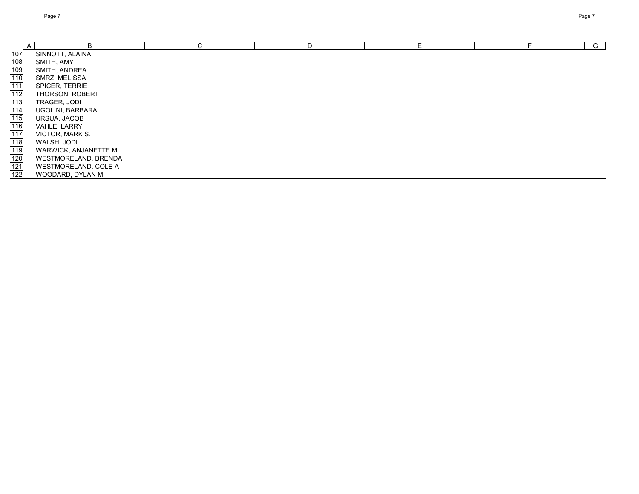| B                           | ^<br>U | D |  | G |
|-----------------------------|--------|---|--|---|
| SINNOTT, ALAINA             |        |   |  |   |
| SMITH, AMY                  |        |   |  |   |
| SMITH, ANDREA               |        |   |  |   |
| SMRZ, MELISSA               |        |   |  |   |
| SPICER, TERRIE              |        |   |  |   |
| THORSON, ROBERT             |        |   |  |   |
| TRAGER, JODI                |        |   |  |   |
| UGOLINI, BARBARA            |        |   |  |   |
| URSUA, JACOB                |        |   |  |   |
| VAHLE, LARRY                |        |   |  |   |
| VICTOR, MARK S.             |        |   |  |   |
| WALSH, JODI                 |        |   |  |   |
| WARWICK, ANJANETTE M.       |        |   |  |   |
| WESTMORELAND, BRENDA        |        |   |  |   |
| <b>WESTMORELAND, COLE A</b> |        |   |  |   |
| WOODARD, DYLAN M            |        |   |  |   |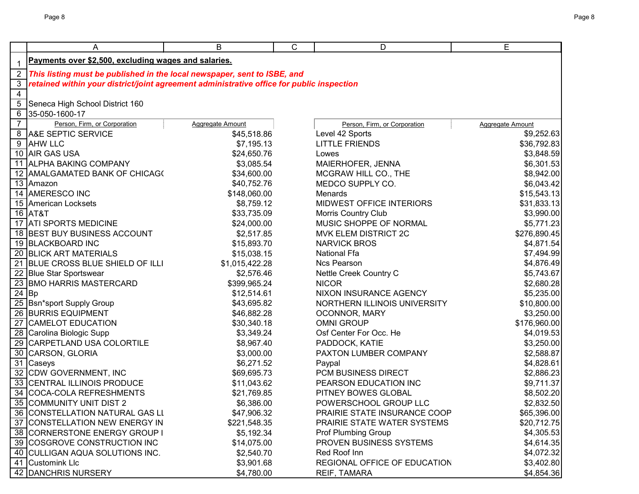|                | Α                                                                                                                                                                                                                | B                                                                                                  | C | D                                                                                                                                                                                    | E                                                                                                |
|----------------|------------------------------------------------------------------------------------------------------------------------------------------------------------------------------------------------------------------|----------------------------------------------------------------------------------------------------|---|--------------------------------------------------------------------------------------------------------------------------------------------------------------------------------------|--------------------------------------------------------------------------------------------------|
| $\mathbf{1}$   | Payments over \$2,500, excluding wages and salaries.                                                                                                                                                             |                                                                                                    |   |                                                                                                                                                                                      |                                                                                                  |
| $\overline{2}$ | This listing must be published in the local newspaper, sent to ISBE, and                                                                                                                                         |                                                                                                    |   |                                                                                                                                                                                      |                                                                                                  |
| $\mathbf{3}$   | retained within your district/joint agreement administrative office for public inspection                                                                                                                        |                                                                                                    |   |                                                                                                                                                                                      |                                                                                                  |
| $\overline{4}$ |                                                                                                                                                                                                                  |                                                                                                    |   |                                                                                                                                                                                      |                                                                                                  |
| $\overline{5}$ | Seneca High School District 160                                                                                                                                                                                  |                                                                                                    |   |                                                                                                                                                                                      |                                                                                                  |
| $\overline{6}$ | 35-050-1600-17                                                                                                                                                                                                   |                                                                                                    |   |                                                                                                                                                                                      |                                                                                                  |
| $\overline{7}$ | Person, Firm, or Corporation                                                                                                                                                                                     | <b>Aggregate Amount</b>                                                                            |   | Person, Firm, or Corporation                                                                                                                                                         | <b>Aggregate Amount</b>                                                                          |
|                | 8 A&E SEPTIC SERVICE                                                                                                                                                                                             | \$45,518.86                                                                                        |   | Level 42 Sports                                                                                                                                                                      | \$9,252.63                                                                                       |
| $\overline{9}$ | <b>AHW LLC</b>                                                                                                                                                                                                   | \$7,195.13                                                                                         |   | <b>LITTLE FRIENDS</b>                                                                                                                                                                | \$36,792.83                                                                                      |
|                | 10 AIR GAS USA                                                                                                                                                                                                   | \$24,650.76                                                                                        |   | Lowes                                                                                                                                                                                | \$3,848.59                                                                                       |
|                | 11 ALPHA BAKING COMPANY                                                                                                                                                                                          | \$3,085.54                                                                                         |   | MAIERHOFER, JENNA                                                                                                                                                                    | \$6,301.53                                                                                       |
|                | 12 AMALGAMATED BANK OF CHICAGO                                                                                                                                                                                   | \$34,600.00                                                                                        |   | MCGRAW HILL CO., THE                                                                                                                                                                 | \$8,942.00                                                                                       |
|                | 13 Amazon                                                                                                                                                                                                        | \$40,752.76                                                                                        |   | MEDCO SUPPLY CO.                                                                                                                                                                     | \$6,043.42                                                                                       |
|                | 14 AMERESCO INC                                                                                                                                                                                                  | \$148,060.00                                                                                       |   | Menards                                                                                                                                                                              | \$15,543.13                                                                                      |
|                | 15 American Locksets                                                                                                                                                                                             | \$8,759.12                                                                                         |   | MIDWEST OFFICE INTERIORS                                                                                                                                                             | \$31,833.13                                                                                      |
|                | 16 AT&T                                                                                                                                                                                                          | \$33,735.09                                                                                        |   | <b>Morris Country Club</b>                                                                                                                                                           | \$3,990.00                                                                                       |
|                | 17 ATI SPORTS MEDICINE                                                                                                                                                                                           | \$24,000.00                                                                                        |   | MUSIC SHOPPE OF NORMAL                                                                                                                                                               | \$5,771.23                                                                                       |
|                | 18 BEST BUY BUSINESS ACCOUNT                                                                                                                                                                                     | \$2,517.85                                                                                         |   | MVK ELEM DISTRICT 2C                                                                                                                                                                 | \$276,890.45                                                                                     |
|                | 19 BLACKBOARD INC                                                                                                                                                                                                | \$15,893.70                                                                                        |   | <b>NARVICK BROS</b>                                                                                                                                                                  | \$4,871.54                                                                                       |
|                | 20 BLICK ART MATERIALS                                                                                                                                                                                           | \$15,038.15                                                                                        |   | <b>National Ffa</b>                                                                                                                                                                  | \$7,494.99                                                                                       |
|                | 21 BLUE CROSS BLUE SHIELD OF ILLI                                                                                                                                                                                | \$1,015,422.28                                                                                     |   | <b>Ncs Pearson</b>                                                                                                                                                                   | \$4,876.49                                                                                       |
|                | 22 Blue Star Sportswear                                                                                                                                                                                          | \$2,576.46                                                                                         |   | Nettle Creek Country C                                                                                                                                                               | \$5,743.67                                                                                       |
|                | 23 BMO HARRIS MASTERCARD                                                                                                                                                                                         | \$399,965.24                                                                                       |   | <b>NICOR</b>                                                                                                                                                                         | \$2,680.28                                                                                       |
|                | $24$ Bp                                                                                                                                                                                                          | \$12,514.61                                                                                        |   | NIXON INSURANCE AGENCY                                                                                                                                                               | \$5,235.00                                                                                       |
|                | 25 Bsn*sport Supply Group                                                                                                                                                                                        | \$43,695.82                                                                                        |   | NORTHERN ILLINOIS UNIVERSITY                                                                                                                                                         | \$10,800.00                                                                                      |
|                | 26 BURRIS EQUIPMENT                                                                                                                                                                                              | \$46,882.28                                                                                        |   | OCONNOR, MARY                                                                                                                                                                        | \$3,250.00                                                                                       |
|                | 27 CAMELOT EDUCATION                                                                                                                                                                                             | \$30,340.18                                                                                        |   | <b>OMNI GROUP</b>                                                                                                                                                                    | \$176,960.00                                                                                     |
|                | 28 Carolina Biologic Supp                                                                                                                                                                                        | \$3,349.24                                                                                         |   | Osf Center For Occ. He                                                                                                                                                               | \$4,019.53                                                                                       |
|                | 29 CARPETLAND USA COLORTILE                                                                                                                                                                                      | \$8,967.40                                                                                         |   | PADDOCK, KATIE                                                                                                                                                                       | \$3,250.00                                                                                       |
|                | 30 CARSON, GLORIA                                                                                                                                                                                                | \$3,000.00                                                                                         |   | PAXTON LUMBER COMPANY                                                                                                                                                                | \$2,588.87                                                                                       |
|                | 31 Caseys                                                                                                                                                                                                        | \$6,271.52                                                                                         |   | Paypal                                                                                                                                                                               | \$4,828.61                                                                                       |
|                | 32 CDW GOVERNMENT, INC                                                                                                                                                                                           | \$69,695.73                                                                                        |   | PCM BUSINESS DIRECT                                                                                                                                                                  | \$2,886.23                                                                                       |
|                | 33 CENTRAL ILLINOIS PRODUCE                                                                                                                                                                                      | \$11,043.62                                                                                        |   | PEARSON EDUCATION INC                                                                                                                                                                | \$9,711.37                                                                                       |
|                | 34 COCA-COLA REFRESHMENTS                                                                                                                                                                                        | \$21,769.85                                                                                        |   | PITNEY BOWES GLOBAL                                                                                                                                                                  | \$8,502.20                                                                                       |
|                | 35 COMMUNITY UNIT DIST 2                                                                                                                                                                                         | \$6,386.00                                                                                         |   | POWERSCHOOL GROUP LLC                                                                                                                                                                | \$2,832.50                                                                                       |
|                |                                                                                                                                                                                                                  |                                                                                                    |   |                                                                                                                                                                                      |                                                                                                  |
|                |                                                                                                                                                                                                                  |                                                                                                    |   |                                                                                                                                                                                      |                                                                                                  |
|                |                                                                                                                                                                                                                  |                                                                                                    |   |                                                                                                                                                                                      |                                                                                                  |
|                |                                                                                                                                                                                                                  |                                                                                                    |   |                                                                                                                                                                                      |                                                                                                  |
|                |                                                                                                                                                                                                                  |                                                                                                    |   |                                                                                                                                                                                      |                                                                                                  |
|                |                                                                                                                                                                                                                  |                                                                                                    |   |                                                                                                                                                                                      |                                                                                                  |
|                | 36 CONSTELLATION NATURAL GAS LI<br>37 CONSTELLATION NEW ENERGY IN<br>38 CORNERSTONE ENERGY GROUP I<br>39 COSGROVE CONSTRUCTION INC<br>40 CULLIGAN AQUA SOLUTIONS INC.<br>41 Customink Llc<br>42 DANCHRIS NURSERY | \$47,906.32<br>\$221,548.35<br>\$5,192.34<br>\$14,075.00<br>\$2,540.70<br>\$3,901.68<br>\$4,780.00 |   | PRAIRIE STATE INSURANCE COOP<br>PRAIRIE STATE WATER SYSTEMS<br><b>Prof Plumbing Group</b><br>PROVEN BUSINESS SYSTEMS<br>Red Roof Inn<br>REGIONAL OFFICE OF EDUCATION<br>REIF, TAMARA | \$65,396.00<br>\$20,712.75<br>\$4,305.53<br>\$4,614.35<br>\$4,072.32<br>\$3,402.80<br>\$4,854.36 |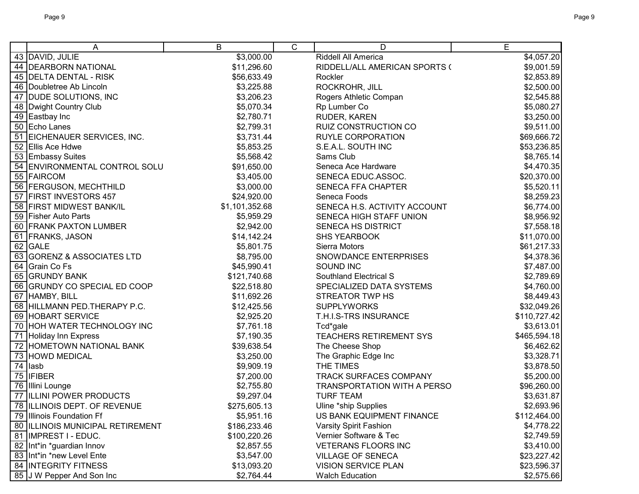|    | A                                | B              | $\mathsf{C}$ | D                             | E            |
|----|----------------------------------|----------------|--------------|-------------------------------|--------------|
|    | 43 DAVID, JULIE                  | \$3,000.00     |              | Riddell All America           | \$4,057.20   |
|    | 44   DEARBORN NATIONAL           | \$11,296.60    |              | RIDDELL/ALL AMERICAN SPORTS ( | \$9,001.59   |
|    | 45 DELTA DENTAL - RISK           | \$56,633.49    |              | Rockler                       | \$2,853.89   |
|    | 46   Doubletree Ab Lincoln       | \$3,225.88     |              | ROCKROHR, JILL                | \$2,500.00   |
|    | 47 DUDE SOLUTIONS, INC           | \$3,206.23     |              | Rogers Athletic Compan        | \$2,545.88   |
|    | 48   Dwight Country Club         | \$5,070.34     |              | Rp Lumber Co                  | \$5,080.27   |
|    | 49 Eastbay Inc                   | \$2,780.71     |              | RUDER, KAREN                  | \$3,250.00   |
|    | 50 Echo Lanes                    | \$2,799.31     |              | RUIZ CONSTRUCTION CO          | \$9,511.00   |
|    | 51 EICHENAUER SERVICES, INC.     | \$3,731.44     |              | <b>RUYLE CORPORATION</b>      | \$69,666.72  |
|    | 52 Ellis Ace Hdwe                | \$5,853.25     |              | S.E.A.L. SOUTH INC            | \$53,236.85  |
|    | 53 Embassy Suites                | \$5,568.42     |              | Sams Club                     | \$8,765.14   |
|    | 54 ENVIRONMENTAL CONTROL SOLU    | \$91,650.00    |              | Seneca Ace Hardware           | \$4,470.35   |
|    | 55 FAIRCOM                       | \$3,405.00     |              | SENECA EDUC.ASSOC.            | \$20,370.00  |
|    | 56 FERGUSON, MECHTHILD           | \$3,000.00     |              | <b>SENECA FFA CHAPTER</b>     | \$5,520.11   |
|    | 57 FIRST INVESTORS 457           | \$24,920.00    |              | Seneca Foods                  | \$8,259.23   |
| 58 | <b>FIRST MIDWEST BANK/IL</b>     | \$1,101,352.68 |              | SENECA H.S. ACTIVITY ACCOUNT  | \$6,774.00   |
| 59 | <b>Fisher Auto Parts</b>         | \$5,959.29     |              | SENECA HIGH STAFF UNION       | \$8,956.92   |
|    | 60 FRANK PAXTON LUMBER           | \$2,942.00     |              | SENECA HS DISTRICT            | \$7,558.18   |
|    | 61 FRANKS, JASON                 | \$14,142.24    |              | <b>SHS YEARBOOK</b>           | \$11,070.00  |
|    | 62 GALE                          | \$5,801.75     |              | Sierra Motors                 | \$61,217.33  |
|    | 63 GORENZ & ASSOCIATES LTD       | \$8,795.00     |              | SNOWDANCE ENTERPRISES         | \$4,378.36   |
|    | 64 Grain Co Fs                   | \$45,990.41    |              | SOUND INC                     | \$7,487.00   |
|    | 65 GRUNDY BANK                   | \$121,740.68   |              | Southland Electrical S        | \$2,789.69   |
|    | 66 GRUNDY CO SPECIAL ED COOP     | \$22,518.80    |              | SPECIALIZED DATA SYSTEMS      | \$4,760.00   |
|    | 67 HAMBY, BILL                   | \$11,692.26    |              | <b>STREATOR TWP HS</b>        | \$8,449.43   |
|    | 68 HILLMANN PED. THERAPY P.C.    | \$12,425.56    |              | <b>SUPPLYWORKS</b>            | \$32,049.26  |
|    | 69 HOBART SERVICE                | \$2,925.20     |              | T.H.I.S-TRS INSURANCE         | \$110,727.42 |
|    | 70 HOH WATER TECHNOLOGY INC      | \$7,761.18     |              | Tcd*gale                      | \$3,613.01   |
|    | 71 Holiday Inn Express           | \$7,190.35     |              | TEACHERS RETIREMENT SYS       | \$465,594.18 |
|    | 72 HOMETOWN NATIONAL BANK        | \$39,638.54    |              | The Cheese Shop               | \$6,462.62   |
|    | 73 HOWD MEDICAL                  | \$3,250.00     |              | The Graphic Edge Inc          | \$3,328.71   |
|    | 74 lasb                          | \$9,909.19     |              | THE TIMES                     | \$3,878.50   |
|    | $75$ IFIBER                      | \$7,200.00     |              | TRACK SURFACES COMPANY        | \$5,200.00   |
|    | 76 Illini Lounge                 | \$2,755.80     |              | TRANSPORTATION WITH A PERSO   | \$96,260.00  |
|    | 77 ILLINI POWER PRODUCTS         | \$9,297.04     |              | <b>TURF TEAM</b>              | \$3,631.87   |
|    | 78 ILLINOIS DEPT. OF REVENUE     | \$275,605.13   |              | Uline *ship Supplies          | \$2,693.96   |
|    | 79 Illinois Foundation Ff        | \$5,951.16     |              | US BANK EQUIPMENT FINANCE     | \$112,464.00 |
|    | 80 ILLINOIS MUNICIPAL RETIREMENT | \$186,233.46   |              | Varsity Spirit Fashion        | \$4,778.22   |
|    | 81 IMPREST I - EDUC.             | \$100,220.26   |              | Vernier Software & Tec        | \$2,749.59   |
|    | 82 Int*in *guardian Innov        | \$2,857.55     |              | <b>VETERANS FLOORS INC</b>    | \$3,410.00   |
|    | 83 Int*in *new Level Ente        | \$3,547.00     |              | <b>VILLAGE OF SENECA</b>      | \$23,227.42  |
|    | 84 INTEGRITY FITNESS             | \$13,093.20    |              | <b>VISION SERVICE PLAN</b>    | \$23,596.37  |
|    | 85 J W Pepper And Son Inc        | \$2,764.44     |              | <b>Walch Education</b>        | \$2,575.66   |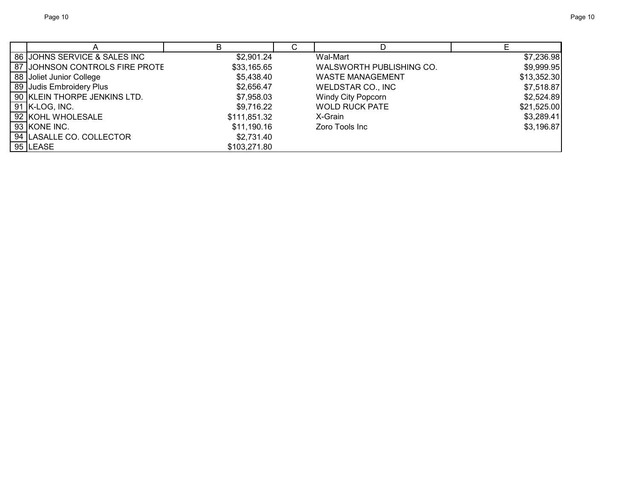|                                | R            | ⌒ | D                         |             |
|--------------------------------|--------------|---|---------------------------|-------------|
| 86 JOHNS SERVICE & SALES INC   | \$2,901.24   |   | Wal-Mart                  | \$7,236.98  |
| 87 JOHNSON CONTROLS FIRE PROTE | \$33,165.65  |   | WALSWORTH PUBLISHING CO.  | \$9,999.95  |
| 88 Joliet Junior College       | \$5,438.40   |   | <b>WASTE MANAGEMENT</b>   | \$13,352.30 |
| 89 Judis Embroidery Plus       | \$2,656.47   |   | WELDSTAR CO., INC         | \$7,518.87  |
| 90 KLEIN THORPE JENKINS LTD.   | \$7,958.03   |   | <b>Windy City Popcorn</b> | \$2,524.89  |
| 91 K-LOG, INC.                 | \$9,716.22   |   | <b>WOLD RUCK PATE</b>     | \$21,525.00 |
| 92 KOHL WHOLESALE              | \$111,851.32 |   | X-Grain                   | \$3,289.41  |
| 93 KONE INC.                   | \$11,190.16  |   | Zoro Tools Inc            | \$3,196.87  |
| 94 LASALLE CO. COLLECTOR       | \$2.731.40   |   |                           |             |
| $95$ LEASE                     | \$103,271.80 |   |                           |             |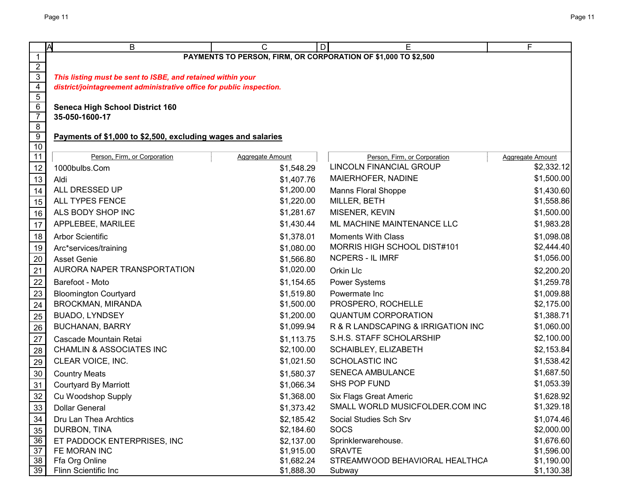|                                  | <b>IA</b><br>B                                                       | C                | D<br>Е                                                         | F                       |
|----------------------------------|----------------------------------------------------------------------|------------------|----------------------------------------------------------------|-------------------------|
| 1                                |                                                                      |                  | PAYMENTS TO PERSON, FIRM, OR CORPORATION OF \$1,000 TO \$2,500 |                         |
| $\frac{2}{3}$                    |                                                                      |                  |                                                                |                         |
|                                  | This listing must be sent to ISBE, and retained within your          |                  |                                                                |                         |
| $\overline{4}$                   | district/jointagreement administrative office for public inspection. |                  |                                                                |                         |
| $\overline{5}$                   |                                                                      |                  |                                                                |                         |
| $6\overline{6}$                  | <b>Seneca High School District 160</b>                               |                  |                                                                |                         |
| $\overline{7}$<br>$\overline{8}$ | 35-050-1600-17                                                       |                  |                                                                |                         |
| $\overline{9}$                   | Payments of \$1,000 to \$2,500, excluding wages and salaries         |                  |                                                                |                         |
| 10                               |                                                                      |                  |                                                                |                         |
| 11                               | Person, Firm, or Corporation                                         | Aggregate Amount | Person, Firm, or Corporation                                   | <b>Aggregate Amount</b> |
| 12                               | 1000bulbs.Com                                                        | \$1,548.29       | <b>LINCOLN FINANCIAL GROUP</b>                                 | \$2,332.12              |
| 13                               | Aldi                                                                 | \$1,407.76       | MAIERHOFER, NADINE                                             | \$1,500.00              |
| 14                               | ALL DRESSED UP                                                       | \$1,200.00       | <b>Manns Floral Shoppe</b>                                     | \$1,430.60              |
| 15                               | ALL TYPES FENCE                                                      | \$1,220.00       | MILLER, BETH                                                   | \$1,558.86              |
| $16\,$                           | ALS BODY SHOP INC                                                    | \$1,281.67       | MISENER, KEVIN                                                 | \$1,500.00              |
| 17                               | APPLEBEE, MARILEE                                                    | \$1,430.44       | ML MACHINE MAINTENANCE LLC                                     | \$1,983.28              |
| 18                               | Arbor Scientific                                                     | \$1,378.01       | <b>Moments With Class</b>                                      | \$1,098.08              |
| 19                               | Arc*services/training                                                | \$1,080.00       | MORRIS HIGH SCHOOL DIST#101                                    | \$2,444.40              |
| <u>20</u>                        | <b>Asset Genie</b>                                                   | \$1,566.80       | <b>NCPERS - IL IMRF</b>                                        | \$1,056.00              |
| $\overline{21}$                  | AURORA NAPER TRANSPORTATION                                          | \$1,020.00       | Orkin Llc                                                      | \$2,200.20              |
| 22                               | Barefoot - Moto                                                      | \$1,154.65       | <b>Power Systems</b>                                           | \$1,259.78              |
| 23                               | <b>Bloomington Courtyard</b>                                         | \$1,519.80       | Powermate Inc                                                  | \$1,009.88              |
| $\overline{24}$                  | BROCKMAN, MIRANDA                                                    | \$1,500.00       | PROSPERO, ROCHELLE                                             | \$2,175.00              |
| 25                               | <b>BUADO, LYNDSEY</b>                                                | \$1,200.00       | <b>QUANTUM CORPORATION</b>                                     | \$1,388.71              |
| 26                               | <b>BUCHANAN, BARRY</b>                                               | \$1,099.94       | R & R LANDSCAPING & IRRIGATION INC                             | \$1,060.00              |
| 27                               | Cascade Mountain Retai                                               | \$1,113.75       | S.H.S. STAFF SCHOLARSHIP                                       | \$2,100.00              |
| 28                               | <b>CHAMLIN &amp; ASSOCIATES INC</b>                                  | \$2,100.00       | SCHAIBLEY, ELIZABETH                                           | \$2,153.84              |
| 29                               | CLEAR VOICE, INC.                                                    | \$1,021.50       | <b>SCHOLASTIC INC</b>                                          | \$1,538.42              |
| $30\,$                           | <b>Country Meats</b>                                                 | \$1,580.37       | <b>SENECA AMBULANCE</b>                                        | \$1,687.50              |
| 31                               | <b>Courtyard By Marriott</b>                                         | \$1,066.34       | SHS POP FUND                                                   | \$1,053.39              |
| 32                               | Cu Woodshop Supply                                                   | \$1,368.00       | <b>Six Flags Great Americ</b>                                  | \$1,628.92              |
| 33                               | <b>Dollar General</b>                                                | \$1,373.42       | SMALL WORLD MUSICFOLDER.COM INC                                | \$1,329.18              |
| 34                               | Dru Lan Thea Archtics                                                | \$2,185.42       | Social Studies Sch Srv                                         | \$1,074.46              |
| 35                               | DURBON, TINA                                                         | \$2,184.60       | <b>SOCS</b>                                                    | \$2,000.00              |
| 36                               | ET PADDOCK ENTERPRISES, INC                                          | \$2,137.00       | Sprinklerwarehouse.                                            | \$1,676.60              |
| 37                               | FE MORAN INC                                                         | \$1,915.00       | <b>SRAVTE</b>                                                  | \$1,596.00              |
| 38                               | Ffa Org Online                                                       | \$1,682.24       | STREAMWOOD BEHAVIORAL HEALTHCA                                 | \$1,190.00              |
| 39                               | Flinn Scientific Inc                                                 | \$1,888.30       | Subway                                                         | \$1,130.38              |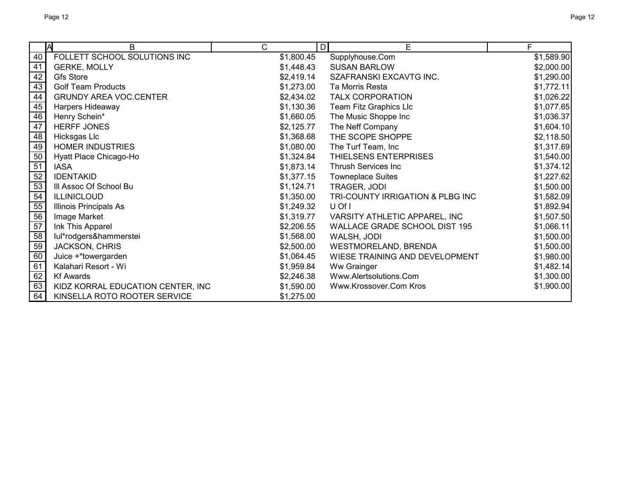|    | M<br>B                            | C          | E<br>D                           | F          |
|----|-----------------------------------|------------|----------------------------------|------------|
| 40 | FOLLETT SCHOOL SOLUTIONS INC      | \$1,800.45 | Supplyhouse.Com                  | \$1,589.90 |
| 41 | <b>GERKE, MOLLY</b>               | \$1,448.43 | <b>SUSAN BARLOW</b>              | \$2,000.00 |
| 42 | <b>Gfs Store</b>                  | \$2,419.14 | SZAFRANSKI EXCAVTG INC.          | \$1,290.00 |
| 43 | <b>Golf Team Products</b>         | \$1,273.00 | Ta Morris Resta                  | \$1,772.11 |
| 44 | <b>GRUNDY AREA VOC.CENTER</b>     | \$2,434.02 | <b>TALX CORPORATION</b>          | \$1,026.22 |
| 45 | Harpers Hideaway                  | \$1,130.36 | Team Fitz Graphics Llc           | \$1,077.65 |
| 46 | Henry Schein*                     | \$1,660.05 | The Music Shoppe Inc             | \$1,036.37 |
| 47 | <b>HERFF JONES</b>                | \$2,125.77 | The Neff Company                 | \$1,604.10 |
| 48 | Hicksgas Llc                      | \$1,368.68 | THE SCOPE SHOPPE                 | \$2,118.50 |
| 49 | <b>HOMER INDUSTRIES</b>           | \$1,080.00 | The Turf Team, Inc               | \$1,317.69 |
| 50 | Hyatt Place Chicago-Ho            | \$1,324.84 | THIELSENS ENTERPRISES            | \$1,540.00 |
| 51 | <b>IASA</b>                       | \$1,873.14 | Thrush Services Inc              | \$1,374.12 |
| 52 | <b>IDENTAKID</b>                  | \$1,377.15 | <b>Towneplace Suites</b>         | \$1,227.62 |
| 53 | III Assoc Of School Bu            | \$1,124.71 | TRAGER, JODI                     | \$1,500.00 |
| 54 | <b>ILLINICLOUD</b>                | \$1,350.00 | TRI-COUNTY IRRIGATION & PLBG INC | \$1,582.09 |
| 55 | Illinois Principals As            | \$1,249.32 | U Of I                           | \$1,892.94 |
| 56 | Image Market                      | \$1,319.77 | VARSITY ATHLETIC APPAREL, INC    | \$1,507.50 |
| 57 | Ink This Apparel                  | \$2,206.55 | WALLACE GRADE SCHOOL DIST 195    | \$1,066.11 |
| 58 | lul*rodgers&hammerstei            | \$1,568.00 | WALSH, JODI                      | \$1,500.00 |
| 59 | JACKSON, CHRIS                    | \$2,500.00 | WESTMORELAND, BRENDA             | \$1,500.00 |
| 60 | Juice +*towergarden               | \$1,064.45 | WIESE TRAINING AND DEVELOPMENT   | \$1,980.00 |
| 61 | Kalahari Resort - Wi              | \$1,959.84 | Ww Grainger                      | \$1,482.14 |
| 62 | <b>Kf Awards</b>                  | \$2,246.38 | Www.Alertsolutions.Com           | \$1,300.00 |
| 63 | KIDZ KORRAL EDUCATION CENTER, INC | \$1,590.00 | Www.Krossover.Com Kros           | \$1,900.00 |
| 64 | KINSELLA ROTO ROOTER SERVICE      | \$1,275.00 |                                  |            |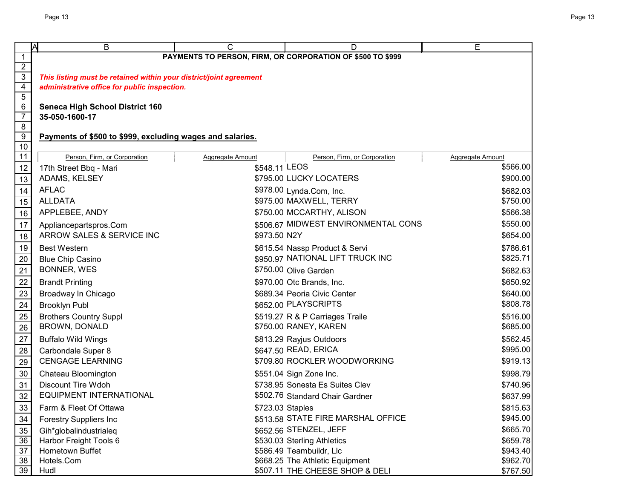|                                    | ΙA<br>В                                                            | С                | D                                                          | E                       |  |  |
|------------------------------------|--------------------------------------------------------------------|------------------|------------------------------------------------------------|-------------------------|--|--|
| $\mathbf{1}$                       |                                                                    |                  | PAYMENTS TO PERSON, FIRM, OR CORPORATION OF \$500 TO \$999 |                         |  |  |
| $\frac{2}{3}$                      |                                                                    |                  |                                                            |                         |  |  |
|                                    | This listing must be retained within your district/joint agreement |                  |                                                            |                         |  |  |
| $\frac{4}{5}$                      | administrative office for public inspection.                       |                  |                                                            |                         |  |  |
| $\overline{6}$                     |                                                                    |                  |                                                            |                         |  |  |
| $\overline{7}$                     | <b>Seneca High School District 160</b><br>35-050-1600-17           |                  |                                                            |                         |  |  |
| $\overline{8}$                     |                                                                    |                  |                                                            |                         |  |  |
| $\overline{9}$                     | Payments of \$500 to \$999, excluding wages and salaries.          |                  |                                                            |                         |  |  |
| 10                                 |                                                                    |                  |                                                            |                         |  |  |
| $\overline{11}$                    | Person, Firm, or Corporation                                       | Aggregate Amount | Person, Firm, or Corporation                               | <b>Aggregate Amount</b> |  |  |
| 12                                 | 17th Street Bbq - Mari                                             | \$548.11 LEOS    |                                                            | \$566.00                |  |  |
| 13                                 | ADAMS, KELSEY                                                      |                  | \$795.00 LUCKY LOCATERS                                    | \$900.00                |  |  |
| 14                                 | <b>AFLAC</b>                                                       |                  | \$978.00 Lynda.Com, Inc.                                   | \$682.03                |  |  |
| $\overline{15}$                    | <b>ALLDATA</b>                                                     |                  | \$975.00 MAXWELL, TERRY                                    | \$750.00                |  |  |
| 16                                 | APPLEBEE, ANDY                                                     |                  | \$750.00 MCCARTHY, ALISON                                  | \$566.38                |  |  |
| 17                                 | Appliancepartspros.Com                                             |                  | \$506.67 MIDWEST ENVIRONMENTAL CONS                        | \$550.00                |  |  |
| 18                                 | ARROW SALES & SERVICE INC                                          | \$973.50 N2Y     |                                                            | \$654.00                |  |  |
| 19                                 | <b>Best Western</b>                                                |                  | \$615.54 Nassp Product & Servi                             | \$786.61                |  |  |
| 20                                 | <b>Blue Chip Casino</b>                                            |                  | \$950.97 NATIONAL LIFT TRUCK INC                           | \$825.71                |  |  |
| $\overline{21}$                    | <b>BONNER, WES</b>                                                 |                  | \$750.00 Olive Garden                                      | \$682.63                |  |  |
| $\frac{22}{1}$                     | <b>Brandt Printing</b>                                             |                  | \$970.00 Otc Brands, Inc.                                  | \$650.92                |  |  |
|                                    | Broadway In Chicago                                                |                  | \$689.34 Peoria Civic Center                               | \$640.00                |  |  |
| $\frac{23}{24}$<br>$\frac{25}{25}$ | <b>Brooklyn Publ</b>                                               |                  | \$652.00 PLAYSCRIPTS                                       | \$808.78                |  |  |
|                                    | <b>Brothers Country Suppl</b>                                      |                  | \$519.27 R & P Carriages Traile                            | \$516.00                |  |  |
| $\overline{26}$                    | <b>BROWN, DONALD</b>                                               |                  | \$750.00 RANEY, KAREN                                      | \$685.00                |  |  |
| $\overline{27}$                    | <b>Buffalo Wild Wings</b>                                          |                  | \$813.29 Rayjus Outdoors                                   | \$562.45                |  |  |
|                                    | Carbondale Super 8                                                 |                  | \$647.50 READ, ERICA                                       | \$995.00                |  |  |
| 28<br>29                           | <b>CENGAGE LEARNING</b>                                            |                  | \$709.80 ROCKLER WOODWORKING                               | \$919.13                |  |  |
| 30                                 | Chateau Bloomington                                                |                  | \$551.04 Sign Zone Inc.                                    | \$998.79                |  |  |
| 31                                 | <b>Discount Tire Wdoh</b>                                          |                  | \$738.95 Sonesta Es Suites Clev                            | \$740.96                |  |  |
| $32 \overline{)}$                  | EQUIPMENT INTERNATIONAL                                            |                  | \$502.76 Standard Chair Gardner                            | \$637.99                |  |  |
| $\overline{33}$                    | Farm & Fleet Of Ottawa                                             | \$723.03 Staples |                                                            | \$815.63                |  |  |
| $\frac{34}{5}$                     | <b>Forestry Suppliers Inc</b>                                      |                  | \$513.58 STATE FIRE MARSHAL OFFICE                         | \$945.00                |  |  |
| $\frac{35}{5}$                     | Gih*globalindustrialeg                                             |                  | \$652.56 STENZEL, JEFF                                     | \$665.70                |  |  |
| 36                                 | Harbor Freight Tools 6                                             |                  | \$530.03 Sterling Athletics                                | \$659.78                |  |  |
| $\overline{37}$                    | Hometown Buffet                                                    |                  | \$586.49 Teambuildr, Llc                                   | \$943.40                |  |  |
| $\overline{38}$                    | Hotels.Com                                                         |                  | \$668.25 The Athletic Equipment                            | \$962.70                |  |  |
| $\overline{39}$                    | Hudl                                                               |                  | \$507.11 THE CHEESE SHOP & DELI                            | \$767.50                |  |  |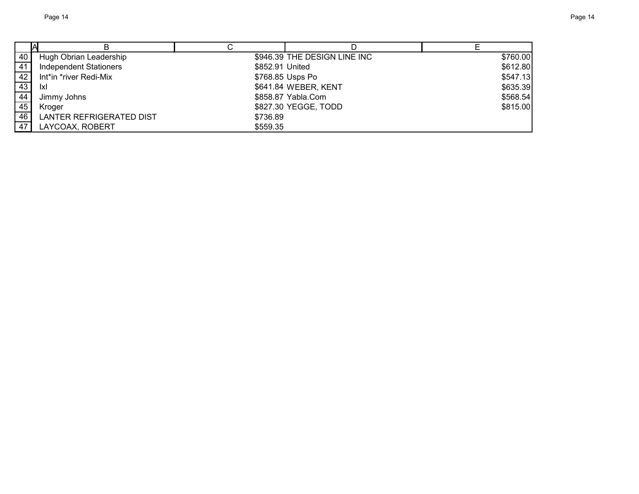| 40 | Hugh Obrian Leadership          |                 | \$946.39 THE DESIGN LINE INC | \$760.00 |
|----|---------------------------------|-----------------|------------------------------|----------|
| 41 | <b>Independent Stationers</b>   | \$852.91 United |                              | \$612.80 |
| 42 | Int*in *river Redi-Mix          |                 | \$768.85 Usps Po             | \$547.13 |
| 43 | <u>lxl</u>                      |                 | \$641.84 WEBER, KENT         | \$635.39 |
| 44 | Jimmy Johns                     |                 | \$858.87 Yabla.Com           | \$568.54 |
| 45 | Kroger                          |                 | \$827.30 YEGGE, TODD         | \$815.00 |
| 46 | <b>LANTER REFRIGERATED DIST</b> | \$736.89        |                              |          |
| 47 | LAYCOAX, ROBERT                 | \$559.35        |                              |          |